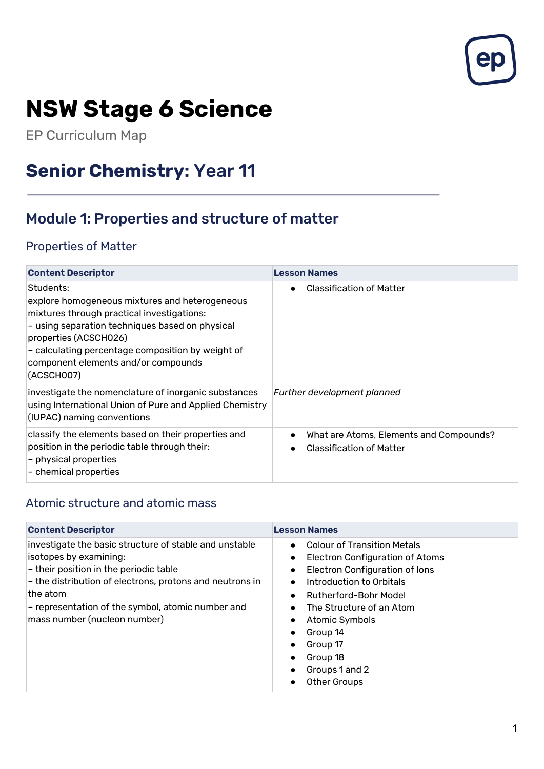

# **NSW Stage 6 Science**

EP Curriculum Map

## **Senior Chemistry:** Year 11

## Module 1: Properties and structure of matter

#### Properties of Matter

| <b>Content Descriptor</b>                                                                                                                                                                                                                                                                       | <b>Lesson Names</b>                                                        |
|-------------------------------------------------------------------------------------------------------------------------------------------------------------------------------------------------------------------------------------------------------------------------------------------------|----------------------------------------------------------------------------|
| Students:<br>explore homogeneous mixtures and heterogeneous<br>mixtures through practical investigations:<br>- using separation techniques based on physical<br>properties (ACSCH026)<br>- calculating percentage composition by weight of<br>component elements and/or compounds<br>(ACSCH007) | <b>Classification of Matter</b>                                            |
| investigate the nomenclature of inorganic substances<br>using International Union of Pure and Applied Chemistry<br>(IUPAC) naming conventions                                                                                                                                                   | Further development planned                                                |
| classify the elements based on their properties and<br>position in the periodic table through their:<br>$-$ physical properties<br>- chemical properties                                                                                                                                        | What are Atoms, Elements and Compounds?<br><b>Classification of Matter</b> |

#### Atomic structure and atomic mass

| <b>Content Descriptor</b>                                                                                                                                                                                                                                                                 | <b>Lesson Names</b>                                                                                                                                                                                                                                                                                                                                                                                                       |
|-------------------------------------------------------------------------------------------------------------------------------------------------------------------------------------------------------------------------------------------------------------------------------------------|---------------------------------------------------------------------------------------------------------------------------------------------------------------------------------------------------------------------------------------------------------------------------------------------------------------------------------------------------------------------------------------------------------------------------|
| investigate the basic structure of stable and unstable<br>isotopes by examining:<br>$-$ their position in the periodic table<br>- the distribution of electrons, protons and neutrons in<br>the atom<br>- representation of the symbol, atomic number and<br>mass number (nucleon number) | <b>Colour of Transition Metals</b><br>$\bullet$<br>Electron Configuration of Atoms<br>$\bullet$<br>Electron Configuration of lons<br>$\bullet$<br>Introduction to Orbitals<br>$\bullet$<br>Rutherford-Bohr Model<br>$\bullet$<br>The Structure of an Atom<br>$\bullet$<br>Atomic Symbols<br>$\bullet$<br>Group 14<br>Group 17<br>$\bullet$<br>Group 18<br>Groups 1 and 2<br>$\bullet$<br><b>Other Groups</b><br>$\bullet$ |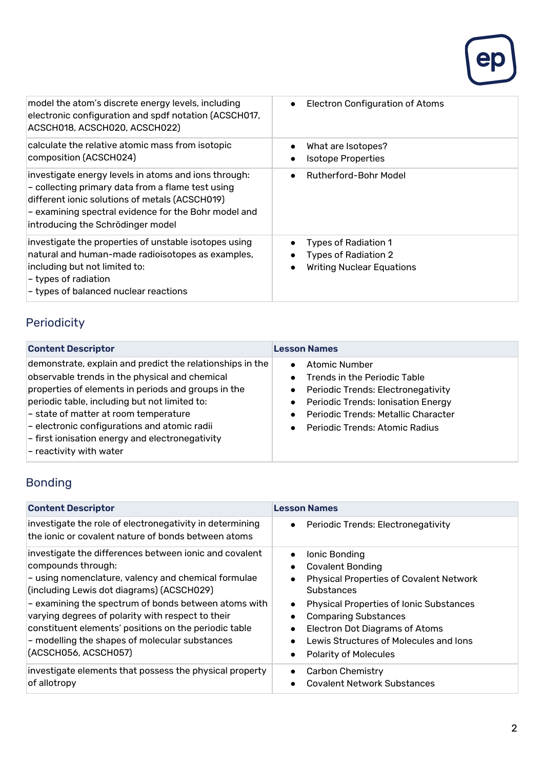

| model the atom's discrete energy levels, including<br>electronic configuration and spdf notation (ACSCH017,<br>ACSCH018, ACSCH020, ACSCH022)                                                                                                               | Electron Configuration of Atoms<br>$\bullet$                                                   |
|------------------------------------------------------------------------------------------------------------------------------------------------------------------------------------------------------------------------------------------------------------|------------------------------------------------------------------------------------------------|
| calculate the relative atomic mass from isotopic<br>composition (ACSCH024)                                                                                                                                                                                 | What are Isotopes?<br>$\bullet$<br><b>Isotope Properties</b><br>$\bullet$                      |
| investigate energy levels in atoms and ions through:<br>- collecting primary data from a flame test using<br>different ionic solutions of metals (ACSCH019)<br>$-$ examining spectral evidence for the Bohr model and<br>introducing the Schrödinger model | Rutherford-Bohr Model<br>$\bullet$                                                             |
| investigate the properties of unstable isotopes using<br>natural and human-made radioisotopes as examples,<br>including but not limited to:<br>$-$ types of radiation<br>$-$ types of balanced nuclear reactions                                           | <b>Types of Radiation 1</b><br><b>Types of Radiation 2</b><br><b>Writing Nuclear Equations</b> |

## Periodicity

| <b>Content Descriptor</b>                                                                                                                                                                                                                                                                                                                                                                                            | <b>Lesson Names</b>                                                                                                                                                                                                                                                               |
|----------------------------------------------------------------------------------------------------------------------------------------------------------------------------------------------------------------------------------------------------------------------------------------------------------------------------------------------------------------------------------------------------------------------|-----------------------------------------------------------------------------------------------------------------------------------------------------------------------------------------------------------------------------------------------------------------------------------|
| demonstrate, explain and predict the relationships in the<br>observable trends in the physical and chemical<br>properties of elements in periods and groups in the<br>periodic table, including but not limited to:<br>- state of matter at room temperature<br>$-$ electronic configurations and atomic radii<br>$-$ first ionisation energy and electronegativity<br>$\mathsf{\mathsf{I}}$ - reactivity with water | <b>Atomic Number</b><br>$\bullet$<br>Trends in the Periodic Table<br>$\bullet$<br>Periodic Trends: Electronegativity<br>$\bullet$<br>Periodic Trends: Ionisation Energy<br>$\bullet$<br>Periodic Trends: Metallic Character<br><b>Periodic Trends: Atomic Radius</b><br>$\bullet$ |

#### Bonding

| <b>Content Descriptor</b>                                                                                                                                                                                                                                                                                                                                                                                                        | <b>Lesson Names</b>                                                                                                                                                                                                                                                                                                                                       |
|----------------------------------------------------------------------------------------------------------------------------------------------------------------------------------------------------------------------------------------------------------------------------------------------------------------------------------------------------------------------------------------------------------------------------------|-----------------------------------------------------------------------------------------------------------------------------------------------------------------------------------------------------------------------------------------------------------------------------------------------------------------------------------------------------------|
| investigate the role of electronegativity in determining<br>the ionic or covalent nature of bonds between atoms                                                                                                                                                                                                                                                                                                                  | Periodic Trends: Electronegativity<br>$\bullet$                                                                                                                                                                                                                                                                                                           |
| investigate the differences between ionic and covalent<br>compounds through:<br>- using nomenclature, valency and chemical formulae<br>(including Lewis dot diagrams) (ACSCH029)<br>- examining the spectrum of bonds between atoms with<br>varying degrees of polarity with respect to their<br>constituent elements' positions on the periodic table<br>- modelling the shapes of molecular substances<br>(ACSCH056, ACSCH057) | Ionic Bonding<br>$\bullet$<br><b>Covalent Bonding</b><br>$\bullet$<br><b>Physical Properties of Covalent Network</b><br>Substances<br><b>Physical Properties of Ionic Substances</b><br>$\bullet$<br><b>Comparing Substances</b><br>Electron Dot Diagrams of Atoms<br>Lewis Structures of Molecules and Jons<br><b>Polarity of Molecules</b><br>$\bullet$ |
| investigate elements that possess the physical property<br>of allotropy                                                                                                                                                                                                                                                                                                                                                          | <b>Carbon Chemistry</b><br>$\bullet$<br><b>Covalent Network Substances</b>                                                                                                                                                                                                                                                                                |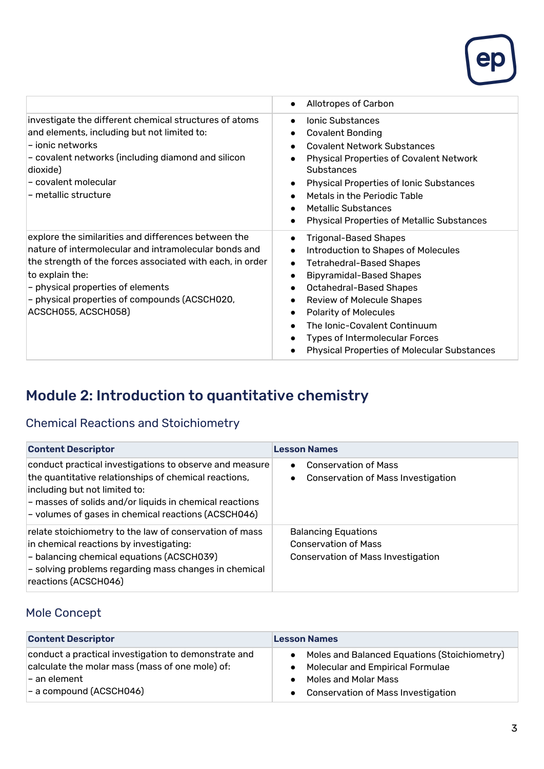

|                                                                                                                                                                                                                                                                                                            | Allotropes of Carbon<br>$\bullet$                                                                                                                                                                                                                                                                                                                                                                                                                                                                          |
|------------------------------------------------------------------------------------------------------------------------------------------------------------------------------------------------------------------------------------------------------------------------------------------------------------|------------------------------------------------------------------------------------------------------------------------------------------------------------------------------------------------------------------------------------------------------------------------------------------------------------------------------------------------------------------------------------------------------------------------------------------------------------------------------------------------------------|
| investigate the different chemical structures of atoms<br>and elements, including but not limited to:<br>– ionic networks<br>- covalent networks (including diamond and silicon<br>dioxide)<br>l- covalent molecular<br>– metallic structure                                                               | <b>Ionic Substances</b><br>$\bullet$<br><b>Covalent Bonding</b><br>$\bullet$<br><b>Covalent Network Substances</b><br>$\bullet$<br><b>Physical Properties of Covalent Network</b><br><b>Substances</b><br><b>Physical Properties of Ionic Substances</b><br>$\bullet$<br>Metals in the Periodic Table<br>$\bullet$<br>Metallic Substances<br>$\bullet$<br><b>Physical Properties of Metallic Substances</b><br>$\bullet$                                                                                   |
| explore the similarities and differences between the<br>nature of intermolecular and intramolecular bonds and<br>the strength of the forces associated with each, in order<br>to explain the:<br>- physical properties of elements<br>- physical properties of compounds (ACSCH020,<br>ACSCH055, ACSCH058) | <b>Trigonal-Based Shapes</b><br>$\bullet$<br><b>Introduction to Shapes of Molecules</b><br>$\bullet$<br><b>Tetrahedral-Based Shapes</b><br>$\bullet$<br><b>Bipyramidal-Based Shapes</b><br>$\bullet$<br><b>Octahedral-Based Shapes</b><br>$\bullet$<br><b>Review of Molecule Shapes</b><br>$\bullet$<br><b>Polarity of Molecules</b><br>$\bullet$<br>The Ionic-Covalent Continuum<br>$\bullet$<br><b>Types of Intermolecular Forces</b><br>$\bullet$<br><b>Physical Properties of Molecular Substances</b> |

## Module 2: Introduction to quantitative chemistry

#### Chemical Reactions and Stoichiometry

| <b>Content Descriptor</b>                                                                                                                                                                                                                                           | <b>Lesson Names</b>                                                                                    |
|---------------------------------------------------------------------------------------------------------------------------------------------------------------------------------------------------------------------------------------------------------------------|--------------------------------------------------------------------------------------------------------|
| conduct practical investigations to observe and measure<br>the quantitative relationships of chemical reactions,<br>including but not limited to:<br>- masses of solids and/or liquids in chemical reactions<br>- volumes of gases in chemical reactions (ACSCH046) | <b>Conservation of Mass</b><br>$\bullet$<br><b>Conservation of Mass Investigation</b><br>$\bullet$     |
| relate stoichiometry to the law of conservation of mass<br>in chemical reactions by investigating:<br>- balancing chemical equations (ACSCH039)<br>- solving problems regarding mass changes in chemical<br>reactions (ACSCH046)                                    | <b>Balancing Equations</b><br><b>Conservation of Mass</b><br><b>Conservation of Mass Investigation</b> |

#### Mole Concept

| <b>Content Descriptor</b>                            | <b>Lesson Names</b>                          |
|------------------------------------------------------|----------------------------------------------|
| conduct a practical investigation to demonstrate and | Moles and Balanced Equations (Stoichiometry) |
| calculate the molar mass (mass of one mole) of:      | Molecular and Empirical Formulae             |
| l– an element l                                      | <b>Moles and Molar Mass</b>                  |
| $-$ a compound (ACSCH046)                            | <b>Conservation of Mass Investigation</b>    |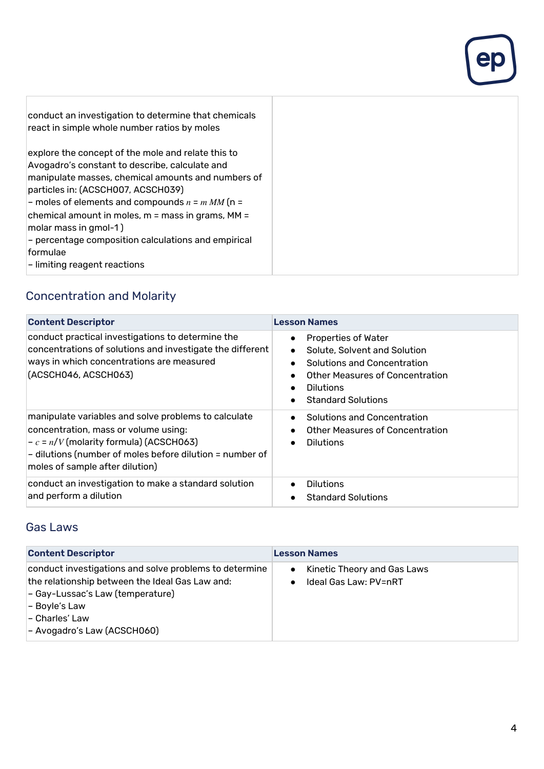| conduct an investigation to determine that chemicals<br>react in simple whole number ratios by moles                                                                                                                                                                                                                                                                                                                                   |
|----------------------------------------------------------------------------------------------------------------------------------------------------------------------------------------------------------------------------------------------------------------------------------------------------------------------------------------------------------------------------------------------------------------------------------------|
|                                                                                                                                                                                                                                                                                                                                                                                                                                        |
| explore the concept of the mole and relate this to<br>Avogadro's constant to describe, calculate and<br>manipulate masses, chemical amounts and numbers of<br>particles in: (ACSCH007, ACSCH039)<br>- moles of elements and compounds $n = m MM$ (n =<br>chemical amount in moles, m = mass in grams, MM =<br>molar mass in gmol-1)<br>- percentage composition calculations and empirical<br>formulae<br>– limiting reagent reactions |

#### Concentration and Molarity

| <b>Content Descriptor</b>                                                                                                                                                                                                               | <b>Lesson Names</b>                                                                                                                                                                                                                            |
|-----------------------------------------------------------------------------------------------------------------------------------------------------------------------------------------------------------------------------------------|------------------------------------------------------------------------------------------------------------------------------------------------------------------------------------------------------------------------------------------------|
| conduct practical investigations to determine the<br>concentrations of solutions and investigate the different<br>ways in which concentrations are measured<br>(ACSCH046, ACSCH063)                                                     | <b>Properties of Water</b><br>$\bullet$<br>Solute, Solvent and Solution<br>$\bullet$<br>Solutions and Concentration<br>$\bullet$<br>Other Measures of Concentration<br>$\bullet$<br><b>Dilutions</b><br>$\bullet$<br><b>Standard Solutions</b> |
| manipulate variables and solve problems to calculate<br>concentration, mass or volume using:<br>$-c = n/V$ (molarity formula) (ACSCH063)<br>- dilutions (number of moles before dilution = number of<br>moles of sample after dilution) | Solutions and Concentration<br>$\bullet$<br>Other Measures of Concentration<br>$\bullet$<br><b>Dilutions</b><br>$\bullet$                                                                                                                      |
| conduct an investigation to make a standard solution<br>and perform a dilution                                                                                                                                                          | <b>Dilutions</b><br>$\bullet$<br><b>Standard Solutions</b>                                                                                                                                                                                     |

#### Gas Laws

| <b>Content Descriptor</b>                                                                                                                                                                                       | <b>Lesson Names</b>                                               |
|-----------------------------------------------------------------------------------------------------------------------------------------------------------------------------------------------------------------|-------------------------------------------------------------------|
| conduct investigations and solve problems to determine<br>the relationship between the Ideal Gas Law and:<br>- Gay-Lussac's Law (temperature)<br>- Boyle's Law<br>- Charles' Law<br>- Avogadro's Law (ACSCH060) | Kinetic Theory and Gas Laws<br>$\bullet$<br>Ideal Gas Law: PV=nRT |

ep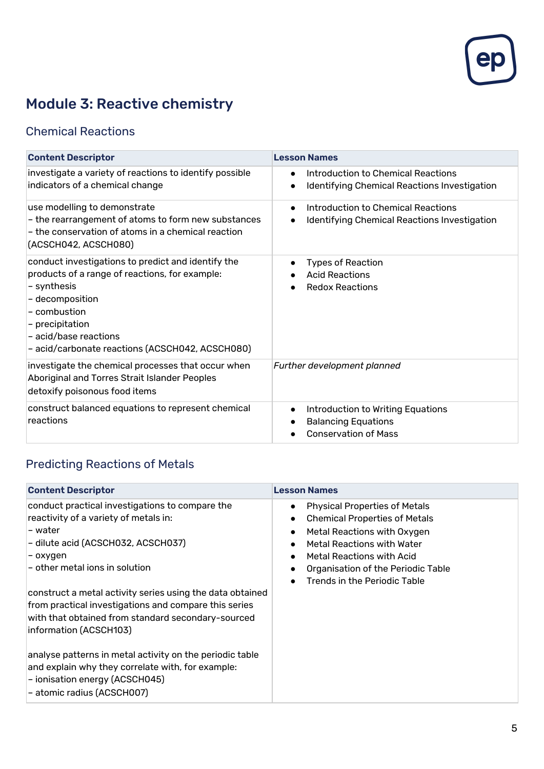

## Module 3: Reactive chemistry

#### Chemical Reactions

| <b>Content Descriptor</b>                                                                                                                                                                                                                             | <b>Lesson Names</b>                                                                                         |
|-------------------------------------------------------------------------------------------------------------------------------------------------------------------------------------------------------------------------------------------------------|-------------------------------------------------------------------------------------------------------------|
| investigate a variety of reactions to identify possible<br>indicators of a chemical change                                                                                                                                                            | Introduction to Chemical Reactions<br>$\bullet$<br>Identifying Chemical Reactions Investigation             |
| use modelling to demonstrate<br>- the rearrangement of atoms to form new substances<br>- the conservation of atoms in a chemical reaction<br>(ACSCH042, ACSCH080)                                                                                     | Introduction to Chemical Reactions<br>$\bullet$<br>Identifying Chemical Reactions Investigation             |
| conduct investigations to predict and identify the<br>products of a range of reactions, for example:<br>- synthesis<br>- decomposition<br>- combustion<br>- precipitation<br>- acid/base reactions<br>- acid/carbonate reactions (ACSCH042, ACSCH080) | <b>Types of Reaction</b><br>$\bullet$<br><b>Acid Reactions</b><br><b>Redox Reactions</b>                    |
| investigate the chemical processes that occur when<br>Aboriginal and Torres Strait Islander Peoples<br>detoxify poisonous food items                                                                                                                  | Further development planned                                                                                 |
| construct balanced equations to represent chemical<br>reactions                                                                                                                                                                                       | Introduction to Writing Equations<br>$\bullet$<br><b>Balancing Equations</b><br><b>Conservation of Mass</b> |

## Predicting Reactions of Metals

| <b>Content Descriptor</b>                                                                                                                                                                                                                                                                                                                                                                                                                                                                                                                                                        | <b>Lesson Names</b>                                                                                                                                                                                                                                                                                                               |
|----------------------------------------------------------------------------------------------------------------------------------------------------------------------------------------------------------------------------------------------------------------------------------------------------------------------------------------------------------------------------------------------------------------------------------------------------------------------------------------------------------------------------------------------------------------------------------|-----------------------------------------------------------------------------------------------------------------------------------------------------------------------------------------------------------------------------------------------------------------------------------------------------------------------------------|
| conduct practical investigations to compare the<br>reactivity of a variety of metals in:<br>l-water<br>- dilute acid (ACSCH032, ACSCH037)<br>– oxygen<br>$-$ other metal ions in solution<br>construct a metal activity series using the data obtained<br>from practical investigations and compare this series<br>with that obtained from standard secondary-sourced<br>information (ACSCH103)<br>analyse patterns in metal activity on the periodic table<br>and explain why they correlate with, for example:<br>- ionisation energy (ACSCH045)<br>- atomic radius (ACSCH007) | <b>Physical Properties of Metals</b><br>$\bullet$<br><b>Chemical Properties of Metals</b><br>$\bullet$<br>Metal Reactions with Oxygen<br>$\bullet$<br><b>Metal Reactions with Water</b><br>$\bullet$<br>Metal Reactions with Acid<br>$\bullet$<br>Organisation of the Periodic Table<br>$\bullet$<br>Trends in the Periodic Table |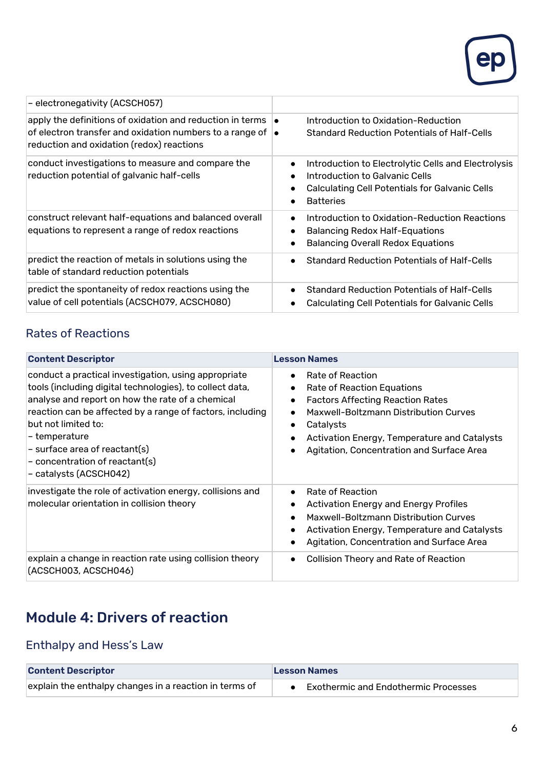

| - electronegativity (ACSCH057)                                                                                                                                                                     |                                                                                                                                                                                 |
|----------------------------------------------------------------------------------------------------------------------------------------------------------------------------------------------------|---------------------------------------------------------------------------------------------------------------------------------------------------------------------------------|
| apply the definitions of oxidation and reduction in terms $\vert \bullet \vert$<br>of electron transfer and oxidation numbers to a range of $\bullet$<br>reduction and oxidation (redox) reactions | Introduction to Oxidation-Reduction<br><b>Standard Reduction Potentials of Half-Cells</b>                                                                                       |
| conduct investigations to measure and compare the<br>reduction potential of galvanic half-cells                                                                                                    | Introduction to Electrolytic Cells and Electrolysis<br>$\bullet$<br>Introduction to Galvanic Cells<br><b>Calculating Cell Potentials for Galvanic Cells</b><br><b>Batteries</b> |
| construct relevant half-equations and balanced overall<br>equations to represent a range of redox reactions                                                                                        | Introduction to Oxidation-Reduction Reactions<br>$\bullet$<br><b>Balancing Redox Half-Equations</b><br><b>Balancing Overall Redox Equations</b>                                 |
| predict the reaction of metals in solutions using the<br>table of standard reduction potentials                                                                                                    | <b>Standard Reduction Potentials of Half-Cells</b>                                                                                                                              |
| predict the spontaneity of redox reactions using the<br>value of cell potentials (ACSCH079, ACSCH080)                                                                                              | Standard Reduction Potentials of Half-Cells<br><b>Calculating Cell Potentials for Galvanic Cells</b>                                                                            |

#### Rates of Reactions

| <b>Content Descriptor</b>                                                                                                                                                                                                                                                                                                                                                     | <b>Lesson Names</b>                                                                                                                                                                                                                                                                                                                     |
|-------------------------------------------------------------------------------------------------------------------------------------------------------------------------------------------------------------------------------------------------------------------------------------------------------------------------------------------------------------------------------|-----------------------------------------------------------------------------------------------------------------------------------------------------------------------------------------------------------------------------------------------------------------------------------------------------------------------------------------|
| conduct a practical investigation, using appropriate<br>tools (including digital technologies), to collect data,<br>analyse and report on how the rate of a chemical<br>reaction can be affected by a range of factors, including<br>but not limited to:<br>– temperature<br>$-$ surface area of reactant(s)<br>$\sim$ concentration of reactant(s)<br>- catalysts (ACSCH042) | Rate of Reaction<br>$\bullet$<br>Rate of Reaction Equations<br>$\bullet$<br><b>Factors Affecting Reaction Rates</b><br>$\bullet$<br>Maxwell-Boltzmann Distribution Curves<br>$\bullet$<br>Catalysts<br>$\bullet$<br>Activation Energy, Temperature and Catalysts<br>$\bullet$<br>Agitation, Concentration and Surface Area<br>$\bullet$ |
| investigate the role of activation energy, collisions and<br>molecular orientation in collision theory                                                                                                                                                                                                                                                                        | Rate of Reaction<br>$\bullet$<br>Activation Energy and Energy Profiles<br>$\bullet$<br>Maxwell-Boltzmann Distribution Curves<br>$\bullet$<br>Activation Energy, Temperature and Catalysts<br>$\bullet$<br>Agitation, Concentration and Surface Area                                                                                     |
| explain a change in reaction rate using collision theory<br>(ACSCH003, ACSCH046)                                                                                                                                                                                                                                                                                              | <b>Collision Theory and Rate of Reaction</b><br>$\bullet$                                                                                                                                                                                                                                                                               |

## Module 4: Drivers of reaction

#### Enthalpy and Hess's Law

| <b>Content Descriptor</b>                              | <b>Lesson Names</b>                    |
|--------------------------------------------------------|----------------------------------------|
| explain the enthalpy changes in a reaction in terms of | • Exothermic and Endothermic Processes |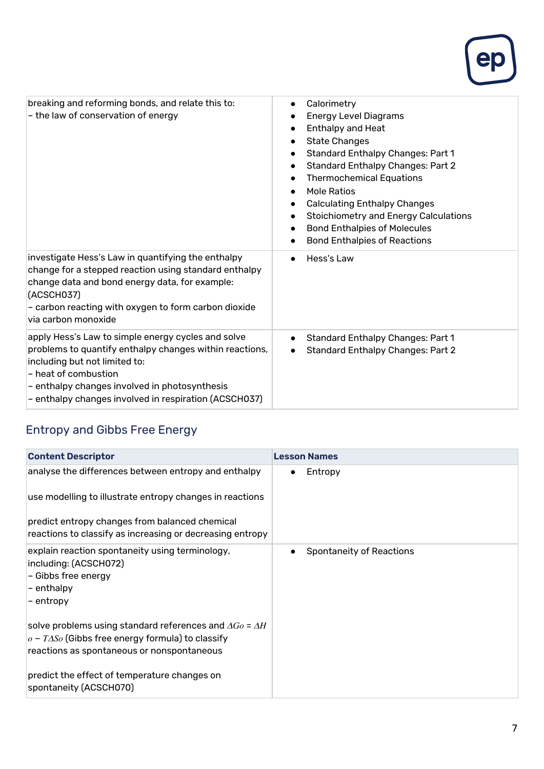

| breaking and reforming bonds, and relate this to:<br>- the law of conservation of energy                                                                                                                                                                                         | Calorimetry<br>$\bullet$<br><b>Energy Level Diagrams</b><br><b>Enthalpy and Heat</b><br>$\bullet$<br><b>State Changes</b><br><b>Standard Enthalpy Changes: Part 1</b><br><b>Standard Enthalpy Changes: Part 2</b><br><b>Thermochemical Equations</b><br><b>Mole Ratios</b><br>$\bullet$<br><b>Calculating Enthalpy Changes</b><br><b>Stoichiometry and Energy Calculations</b><br><b>Bond Enthalpies of Molecules</b><br>$\bullet$<br><b>Bond Enthalpies of Reactions</b><br>$\bullet$ |
|----------------------------------------------------------------------------------------------------------------------------------------------------------------------------------------------------------------------------------------------------------------------------------|----------------------------------------------------------------------------------------------------------------------------------------------------------------------------------------------------------------------------------------------------------------------------------------------------------------------------------------------------------------------------------------------------------------------------------------------------------------------------------------|
| investigate Hess's Law in quantifying the enthalpy<br>change for a stepped reaction using standard enthalpy<br>change data and bond energy data, for example:<br>(ACSCH037)<br>- carbon reacting with oxygen to form carbon dioxide<br>via carbon monoxide                       | Hess's Law<br>$\bullet$                                                                                                                                                                                                                                                                                                                                                                                                                                                                |
| apply Hess's Law to simple energy cycles and solve<br>problems to quantify enthalpy changes within reactions,<br>including but not limited to:<br>- heat of combustion<br>- enthalpy changes involved in photosynthesis<br>- enthalpy changes involved in respiration (ACSCH037) | <b>Standard Enthalpy Changes: Part 1</b><br>$\bullet$<br><b>Standard Enthalpy Changes: Part 2</b><br>$\bullet$                                                                                                                                                                                                                                                                                                                                                                         |

#### Entropy and Gibbs Free Energy

| <b>Content Descriptor</b>                                                                                                                                                                                                                                 | <b>Lesson Names</b>      |
|-----------------------------------------------------------------------------------------------------------------------------------------------------------------------------------------------------------------------------------------------------------|--------------------------|
| analyse the differences between entropy and enthalpy<br>use modelling to illustrate entropy changes in reactions<br>predict entropy changes from balanced chemical<br>reactions to classify as increasing or decreasing entropy                           | Entropy<br>$\bullet$     |
| explain reaction spontaneity using terminology,<br>including: (ACSCH072)<br>- Gibbs free energy<br> - enthalpy<br>– entropy                                                                                                                               | Spontaneity of Reactions |
| solve problems using standard references and $\Delta G_O$ = $\Delta H$<br>$ o-T\Delta So$ (Gibbs free energy formula) to classify<br>reactions as spontaneous or nonspontaneous<br>predict the effect of temperature changes on<br>spontaneity (ACSCH070) |                          |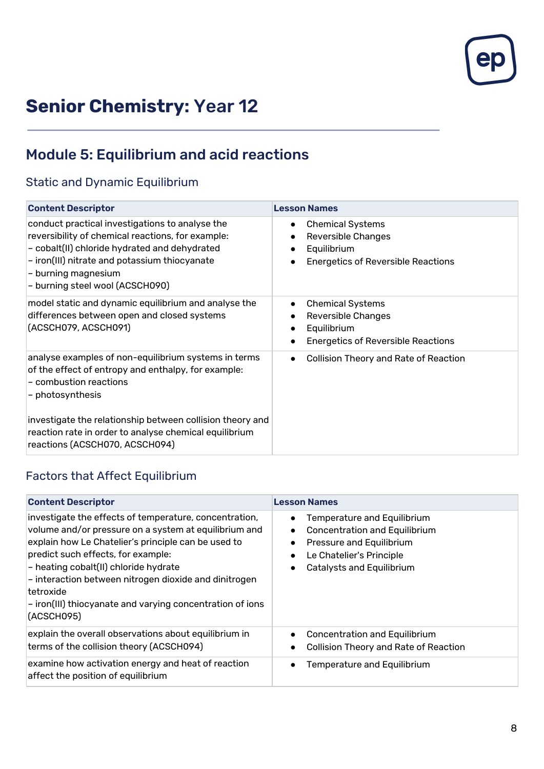

# **Senior Chemistry:** Year 12

## Module 5: Equilibrium and acid reactions

#### Static and Dynamic Equilibrium

| <b>Content Descriptor</b>                                                                                                                                                                                                                                                        | <b>Lesson Names</b>                                                                                                                        |
|----------------------------------------------------------------------------------------------------------------------------------------------------------------------------------------------------------------------------------------------------------------------------------|--------------------------------------------------------------------------------------------------------------------------------------------|
| conduct practical investigations to analyse the<br>reversibility of chemical reactions, for example:<br>- cobalt(II) chloride hydrated and dehydrated<br>- iron(III) nitrate and potassium thiocyanate<br>- burning magnesium<br>- burning steel wool (ACSCH090)                 | <b>Chemical Systems</b><br>$\bullet$<br><b>Reversible Changes</b><br>Equilibrium<br><b>Energetics of Reversible Reactions</b>              |
| model static and dynamic equilibrium and analyse the<br>differences between open and closed systems<br>(ACSCH079, ACSCH091)                                                                                                                                                      | <b>Chemical Systems</b><br>$\bullet$<br><b>Reversible Changes</b><br>Equilibrium<br>$\bullet$<br><b>Energetics of Reversible Reactions</b> |
| analyse examples of non-equilibrium systems in terms<br>of the effect of entropy and enthalpy, for example:<br>- combustion reactions<br>- photosynthesis<br>investigate the relationship between collision theory and<br>reaction rate in order to analyse chemical equilibrium | <b>Collision Theory and Rate of Reaction</b>                                                                                               |
| reactions (ACSCH070, ACSCH094)                                                                                                                                                                                                                                                   |                                                                                                                                            |

#### Factors that Affect Equilibrium

| <b>Content Descriptor</b>                                                                                                                                                                                                                                                                                                                                                                               | <b>Lesson Names</b>                                                                                                                                                                |
|---------------------------------------------------------------------------------------------------------------------------------------------------------------------------------------------------------------------------------------------------------------------------------------------------------------------------------------------------------------------------------------------------------|------------------------------------------------------------------------------------------------------------------------------------------------------------------------------------|
| investigate the effects of temperature, concentration,<br>volume and/or pressure on a system at equilibrium and<br>explain how Le Chatelier's principle can be used to<br>predict such effects, for example:<br>- heating cobalt(II) chloride hydrate<br>- interaction between nitrogen dioxide and dinitrogen<br> tetroxide<br>- iron(III) thiocyanate and varying concentration of ions<br>(ACSCH095) | Temperature and Equilibrium<br><b>Concentration and Equilibrium</b><br>$\bullet$<br>Pressure and Equilibrium<br>Le Chatelier's Principle<br>$\bullet$<br>Catalysts and Equilibrium |
| explain the overall observations about equilibrium in<br>terms of the collision theory (ACSCH094)                                                                                                                                                                                                                                                                                                       | <b>Concentration and Equilibrium</b><br>$\bullet$<br><b>Collision Theory and Rate of Reaction</b>                                                                                  |
| examine how activation energy and heat of reaction<br>affect the position of equilibrium                                                                                                                                                                                                                                                                                                                | <b>Temperature and Equilibrium</b>                                                                                                                                                 |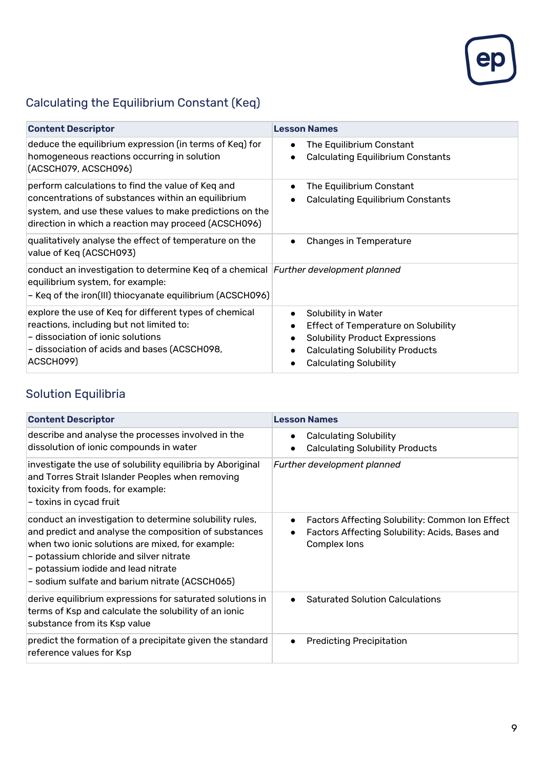

## Calculating the Equilibrium Constant (Keq)

| <b>Content Descriptor</b>                                                                                                                                                                                                  | <b>Lesson Names</b>                                                                                                                                                                                                  |
|----------------------------------------------------------------------------------------------------------------------------------------------------------------------------------------------------------------------------|----------------------------------------------------------------------------------------------------------------------------------------------------------------------------------------------------------------------|
| deduce the equilibrium expression (in terms of Keq) for<br>homogeneous reactions occurring in solution<br>(ACSCH079, ACSCH096)                                                                                             | The Equilibrium Constant<br>$\bullet$<br><b>Calculating Equilibrium Constants</b>                                                                                                                                    |
| perform calculations to find the value of Keq and<br>concentrations of substances within an equilibrium<br>system, and use these values to make predictions on the<br>direction in which a reaction may proceed (ACSCH096) | The Equilibrium Constant<br>$\bullet$<br><b>Calculating Equilibrium Constants</b><br>$\bullet$                                                                                                                       |
| qualitatively analyse the effect of temperature on the<br>value of Keq (ACSCH093)                                                                                                                                          | <b>Changes in Temperature</b><br>$\bullet$                                                                                                                                                                           |
| conduct an investigation to determine Keq of a chemical Further development planned<br>equilibrium system, for example:<br>- Keq of the iron(III) thiocyanate equilibrium (ACSCH096)                                       |                                                                                                                                                                                                                      |
| explore the use of Keq for different types of chemical<br>reactions, including but not limited to:<br>- dissociation of ionic solutions<br>- dissociation of acids and bases (ACSCH098,<br>ACSCH099)                       | Solubility in Water<br>$\bullet$<br><b>Effect of Temperature on Solubility</b><br>٠<br><b>Solubility Product Expressions</b><br>$\bullet$<br><b>Calculating Solubility Products</b><br><b>Calculating Solubility</b> |

#### Solution Equilibria

| <b>Content Descriptor</b>                                                                                                                                                                                                                                                                                | <b>Lesson Names</b>                                                                                                                         |
|----------------------------------------------------------------------------------------------------------------------------------------------------------------------------------------------------------------------------------------------------------------------------------------------------------|---------------------------------------------------------------------------------------------------------------------------------------------|
| describe and analyse the processes involved in the<br>dissolution of ionic compounds in water                                                                                                                                                                                                            | <b>Calculating Solubility</b><br>$\bullet$<br><b>Calculating Solubility Products</b><br>$\bullet$                                           |
| investigate the use of solubility equilibria by Aboriginal<br>and Torres Strait Islander Peoples when removing<br>toxicity from foods, for example:<br>- toxins in cycad fruit                                                                                                                           | Further development planned                                                                                                                 |
| conduct an investigation to determine solubility rules,<br>and predict and analyse the composition of substances<br>when two ionic solutions are mixed, for example:<br>- potassium chloride and silver nitrate<br>- potassium iodide and lead nitrate<br>- sodium sulfate and barium nitrate (ACSCH065) | Factors Affecting Solubility: Common Ion Effect<br>$\bullet$<br>Factors Affecting Solubility: Acids, Bases and<br>$\bullet$<br>Complex lons |
| derive equilibrium expressions for saturated solutions in<br>terms of Ksp and calculate the solubility of an ionic<br>substance from its Ksp value                                                                                                                                                       | <b>Saturated Solution Calculations</b><br>$\bullet$                                                                                         |
| predict the formation of a precipitate given the standard<br>reference values for Ksp                                                                                                                                                                                                                    | <b>Predicting Precipitation</b><br>$\bullet$                                                                                                |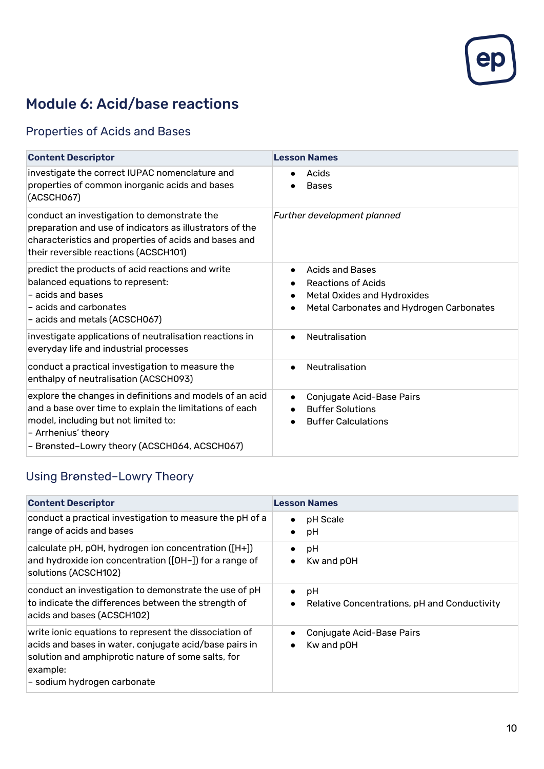

## Module 6: Acid/base reactions

#### Properties of Acids and Bases

| <b>Content Descriptor</b>                                                                                                                                                                                                          | <b>Lesson Names</b>                                                                                                                                      |
|------------------------------------------------------------------------------------------------------------------------------------------------------------------------------------------------------------------------------------|----------------------------------------------------------------------------------------------------------------------------------------------------------|
| investigate the correct IUPAC nomenclature and<br>properties of common inorganic acids and bases<br>(ACSCH067)                                                                                                                     | Acids<br><b>Bases</b>                                                                                                                                    |
| conduct an investigation to demonstrate the<br>preparation and use of indicators as illustrators of the<br>characteristics and properties of acids and bases and<br>their reversible reactions (ACSCH101)                          | Further development planned                                                                                                                              |
| predict the products of acid reactions and write<br>balanced equations to represent:<br>- acids and bases<br>- acids and carbonates<br>- acids and metals (ACSCH067)                                                               | <b>Acids and Bases</b><br>$\bullet$<br><b>Reactions of Acids</b><br>$\bullet$<br>Metal Oxides and Hydroxides<br>Metal Carbonates and Hydrogen Carbonates |
| investigate applications of neutralisation reactions in<br>everyday life and industrial processes                                                                                                                                  | Neutralisation<br>$\bullet$                                                                                                                              |
| conduct a practical investigation to measure the<br>enthalpy of neutralisation (ACSCH093)                                                                                                                                          | Neutralisation<br>$\bullet$                                                                                                                              |
| explore the changes in definitions and models of an acid<br>and a base over time to explain the limitations of each<br>model, including but not limited to:<br>- Arrhenius' theory<br>- Brønsted-Lowry theory (ACSCH064, ACSCH067) | Conjugate Acid-Base Pairs<br>$\bullet$<br><b>Buffer Solutions</b><br><b>Buffer Calculations</b>                                                          |

#### Using Brønsted–Lowry Theory

| <b>Content Descriptor</b>                                                                                                                                                                                         | <b>Lesson Names</b>                                                          |
|-------------------------------------------------------------------------------------------------------------------------------------------------------------------------------------------------------------------|------------------------------------------------------------------------------|
| conduct a practical investigation to measure the pH of a<br>range of acids and bases                                                                                                                              | pH Scale<br>$\bullet$<br>pH<br>$\bullet$                                     |
| calculate pH, pOH, hydrogen ion concentration ([H+])<br>and hydroxide ion concentration ([OH-]) for a range of<br>solutions (ACSCH102)                                                                            | pH<br>$\bullet$<br>Kw and pOH<br>$\bullet$                                   |
| conduct an investigation to demonstrate the use of pH<br>to indicate the differences between the strength of<br>acids and bases (ACSCH102)                                                                        | pH<br>$\bullet$<br>Relative Concentrations, pH and Conductivity<br>$\bullet$ |
| write ionic equations to represent the dissociation of<br>acids and bases in water, conjugate acid/base pairs in<br>solution and amphiprotic nature of some salts, for<br>example:<br>- sodium hydrogen carbonate | Conjugate Acid-Base Pairs<br>$\bullet$<br>Kw and pOH<br>$\bullet$            |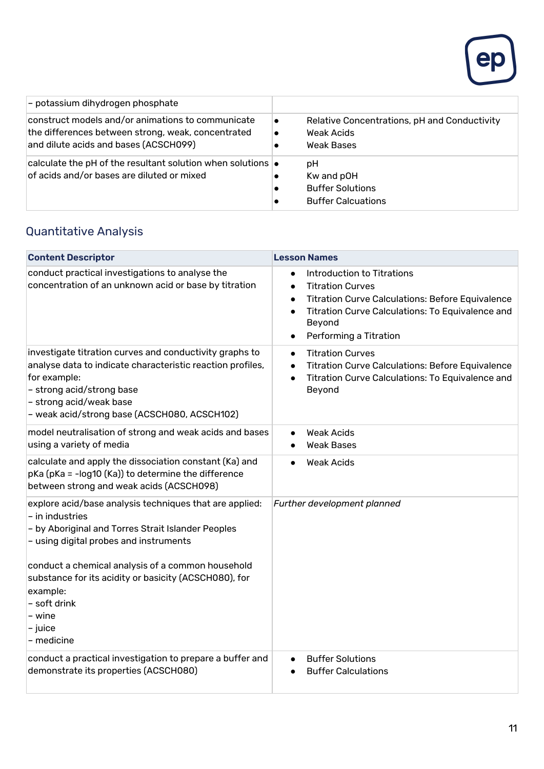

| - potassium dihydrogen phosphate                                                                                                                 |                                                                          |
|--------------------------------------------------------------------------------------------------------------------------------------------------|--------------------------------------------------------------------------|
| construct models and/or animations to communicate<br>the differences between strong, weak, concentrated<br>and dilute acids and bases (ACSCH099) | Relative Concentrations, pH and Conductivity<br>Weak Acids<br>Weak Bases |
| calculate the pH of the resultant solution when solutions $\bullet$<br>of acids and/or bases are diluted or mixed                                | рH<br>Kw and pOH<br><b>Buffer Solutions</b><br><b>Buffer Calcuations</b> |

#### Quantitative Analysis

| <b>Content Descriptor</b>                                                                                                                                                                                                                                                                                                      | <b>Lesson Names</b>                                                                                                                                                                                                                                                       |
|--------------------------------------------------------------------------------------------------------------------------------------------------------------------------------------------------------------------------------------------------------------------------------------------------------------------------------|---------------------------------------------------------------------------------------------------------------------------------------------------------------------------------------------------------------------------------------------------------------------------|
| conduct practical investigations to analyse the<br>concentration of an unknown acid or base by titration                                                                                                                                                                                                                       | Introduction to Titrations<br>$\bullet$<br><b>Titration Curves</b><br>$\bullet$<br><b>Titration Curve Calculations: Before Equivalence</b><br>$\bullet$<br>Titration Curve Calculations: To Equivalence and<br>$\bullet$<br>Beyond<br>Performing a Titration<br>$\bullet$ |
| investigate titration curves and conductivity graphs to<br>analyse data to indicate characteristic reaction profiles,<br>for example:<br>- strong acid/strong base<br>- strong acid/weak base<br>- weak acid/strong base (ACSCH080, ACSCH102)                                                                                  | <b>Titration Curves</b><br>$\bullet$<br><b>Titration Curve Calculations: Before Equivalence</b><br>$\bullet$<br>Titration Curve Calculations: To Equivalence and<br>$\bullet$<br>Beyond                                                                                   |
| model neutralisation of strong and weak acids and bases<br>using a variety of media                                                                                                                                                                                                                                            | <b>Weak Acids</b><br><b>Weak Bases</b>                                                                                                                                                                                                                                    |
| calculate and apply the dissociation constant (Ka) and<br>pKa (pKa = -log10 (Ka)) to determine the difference<br>between strong and weak acids (ACSCH098)                                                                                                                                                                      | <b>Weak Acids</b><br>$\bullet$                                                                                                                                                                                                                                            |
| explore acid/base analysis techniques that are applied:<br>- in industries<br>- by Aboriginal and Torres Strait Islander Peoples<br>- using digital probes and instruments<br>conduct a chemical analysis of a common household<br>substance for its acidity or basicity (ACSCH080), for<br>example:<br>- soft drink<br>- wine | Further development planned                                                                                                                                                                                                                                               |
| - juice<br>- medicine                                                                                                                                                                                                                                                                                                          |                                                                                                                                                                                                                                                                           |
| conduct a practical investigation to prepare a buffer and<br>demonstrate its properties (ACSCH080)                                                                                                                                                                                                                             | <b>Buffer Solutions</b><br>$\bullet$<br><b>Buffer Calculations</b>                                                                                                                                                                                                        |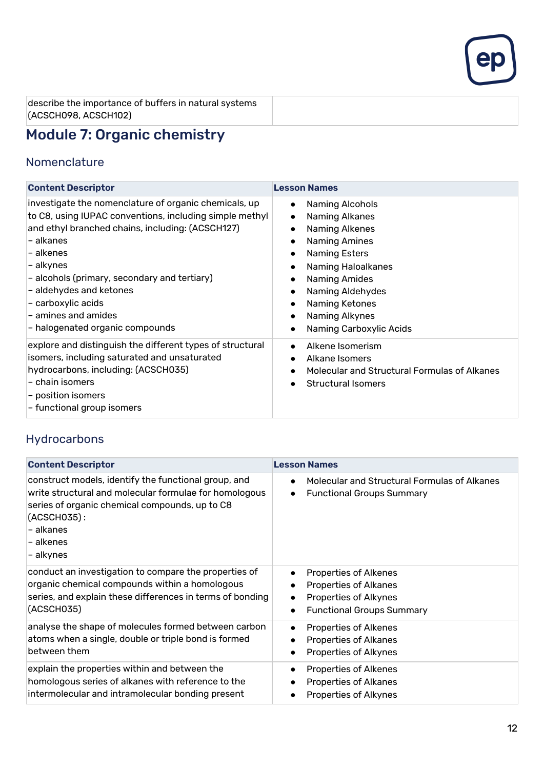

describe the importance of buffers in natural systems (ACSCH098, ACSCH102)

## Module 7: Organic chemistry

#### Nomenclature

| <b>Content Descriptor</b>                                                                                                                                                                                                                                                                                                                                                                    | <b>Lesson Names</b>                                                                                                                                                                                                                                                                                                                                                                 |
|----------------------------------------------------------------------------------------------------------------------------------------------------------------------------------------------------------------------------------------------------------------------------------------------------------------------------------------------------------------------------------------------|-------------------------------------------------------------------------------------------------------------------------------------------------------------------------------------------------------------------------------------------------------------------------------------------------------------------------------------------------------------------------------------|
| investigate the nomenclature of organic chemicals, up<br>to C8, using IUPAC conventions, including simple methyl<br>and ethyl branched chains, including: (ACSCH127)<br>- alkanes<br>- alkenes<br>– alkynes<br>- alcohols (primary, secondary and tertiary)<br>- aldehydes and ketones<br>- carboxylic acids<br>$\mathsf{\mathsf{I}}$ - amines and amides<br>- halogenated organic compounds | Naming Alcohols<br>$\bullet$<br>Naming Alkanes<br>$\bullet$<br>Naming Alkenes<br>$\bullet$<br><b>Naming Amines</b><br>$\bullet$<br>Naming Esters<br>$\bullet$<br><b>Naming Haloalkanes</b><br>$\bullet$<br><b>Naming Amides</b><br>$\bullet$<br>Naming Aldehydes<br>$\bullet$<br>Naming Ketones<br>$\bullet$<br>Naming Alkynes<br>$\bullet$<br>Naming Carboxylic Acids<br>$\bullet$ |
| explore and distinguish the different types of structural<br>isomers, including saturated and unsaturated<br>hydrocarbons, including: (ACSCH035)<br>- chain isomers<br>$-$ position isomers<br>- functional group isomers                                                                                                                                                                    | Alkene Isomerism<br>$\bullet$<br>Alkane Isomers<br>$\bullet$<br>Molecular and Structural Formulas of Alkanes<br>$\bullet$<br><b>Structural Isomers</b><br>$\bullet$                                                                                                                                                                                                                 |

#### Hydrocarbons

| <b>Content Descriptor</b>                                                                                                                                                                                                 | <b>Lesson Names</b>                                                                                                                                                                  |
|---------------------------------------------------------------------------------------------------------------------------------------------------------------------------------------------------------------------------|--------------------------------------------------------------------------------------------------------------------------------------------------------------------------------------|
| construct models, identify the functional group, and<br>write structural and molecular formulae for homologous<br>series of organic chemical compounds, up to C8<br>$(ACSCH035)$ :<br>- alkanes<br>- alkenes<br>- alkynes | Molecular and Structural Formulas of Alkanes<br>$\bullet$<br><b>Functional Groups Summary</b><br>$\bullet$                                                                           |
| conduct an investigation to compare the properties of<br>organic chemical compounds within a homologous<br>series, and explain these differences in terms of bonding<br>(ACSCH035)                                        | <b>Properties of Alkenes</b><br>$\bullet$<br><b>Properties of Alkanes</b><br>$\bullet$<br><b>Properties of Alkynes</b><br>$\bullet$<br><b>Functional Groups Summary</b><br>$\bullet$ |
| analyse the shape of molecules formed between carbon<br>atoms when a single, double or triple bond is formed<br>between them                                                                                              | Properties of Alkenes<br>$\bullet$<br><b>Properties of Alkanes</b><br>$\bullet$<br>Properties of Alkynes<br>$\bullet$                                                                |
| explain the properties within and between the<br>homologous series of alkanes with reference to the<br>intermolecular and intramolecular bonding present                                                                  | <b>Properties of Alkenes</b><br>$\bullet$<br><b>Properties of Alkanes</b><br>$\bullet$<br><b>Properties of Alkynes</b>                                                               |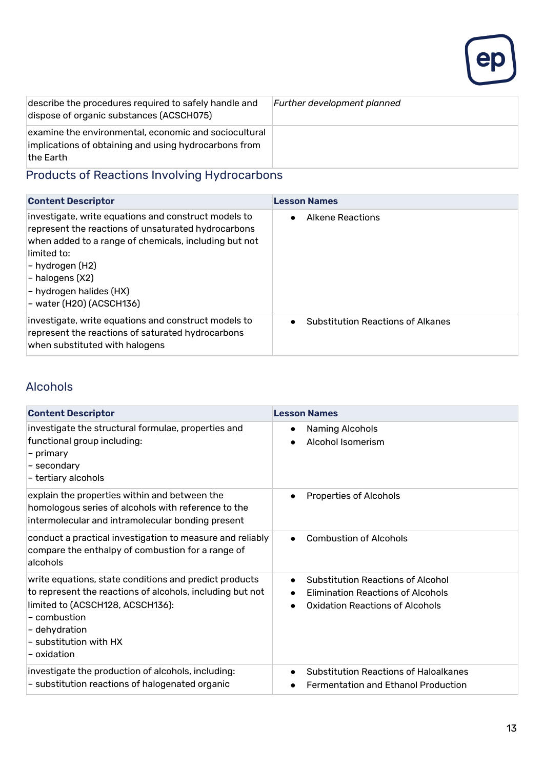

| describe the procedures required to safely handle and<br>dispose of organic substances (ACSCH075) | Further development planned |
|---------------------------------------------------------------------------------------------------|-----------------------------|
| examine the environmental, economic and sociocultural                                             |                             |
| implications of obtaining and using hydrocarbons from                                             |                             |
| lthe Earth                                                                                        |                             |

## Products of Reactions Involving Hydrocarbons

| <b>Content Descriptor</b>                                                                                                                                                                                                                                                          | <b>Lesson Names</b>                                   |
|------------------------------------------------------------------------------------------------------------------------------------------------------------------------------------------------------------------------------------------------------------------------------------|-------------------------------------------------------|
| investigate, write equations and construct models to<br>represent the reactions of unsaturated hydrocarbons<br>when added to a range of chemicals, including but not<br>limited to:<br> - hydrogen (H2)<br>- halogens (X2)<br>- hydrogen halides (HX)<br> - water (H2O) (ACSCH136) | Alkene Reactions<br>$\bullet$                         |
| investigate, write equations and construct models to<br>represent the reactions of saturated hydrocarbons<br>when substituted with halogens                                                                                                                                        | <b>Substitution Reactions of Alkanes</b><br>$\bullet$ |

#### Alcohols

| <b>Content Descriptor</b>                                                                                                                                                                                                         | <b>Lesson Names</b>                                                                                                                               |
|-----------------------------------------------------------------------------------------------------------------------------------------------------------------------------------------------------------------------------------|---------------------------------------------------------------------------------------------------------------------------------------------------|
| investigate the structural formulae, properties and<br>functional group including:<br>- primary<br>- secondary<br>- tertiary alcohols                                                                                             | Naming Alcohols<br>$\bullet$<br>Alcohol Isomerism                                                                                                 |
| explain the properties within and between the<br>homologous series of alcohols with reference to the<br>intermolecular and intramolecular bonding present                                                                         | Properties of Alcohols<br>$\bullet$                                                                                                               |
| conduct a practical investigation to measure and reliably<br>compare the enthalpy of combustion for a range of<br>alcohols                                                                                                        | <b>Combustion of Alcohols</b><br>$\bullet$                                                                                                        |
| write equations, state conditions and predict products<br>to represent the reactions of alcohols, including but not<br>limited to (ACSCH128, ACSCH136):<br>- combustion<br>- dehydration<br>- substitution with HX<br>– oxidation | <b>Substitution Reactions of Alcohol</b><br>$\bullet$<br><b>Elimination Reactions of Alcohols</b><br>$\bullet$<br>Oxidation Reactions of Alcohols |
| investigate the production of alcohols, including:<br>- substitution reactions of halogenated organic                                                                                                                             | <b>Substitution Reactions of Haloalkanes</b><br>$\bullet$<br><b>Fermentation and Ethanol Production</b><br>$\bullet$                              |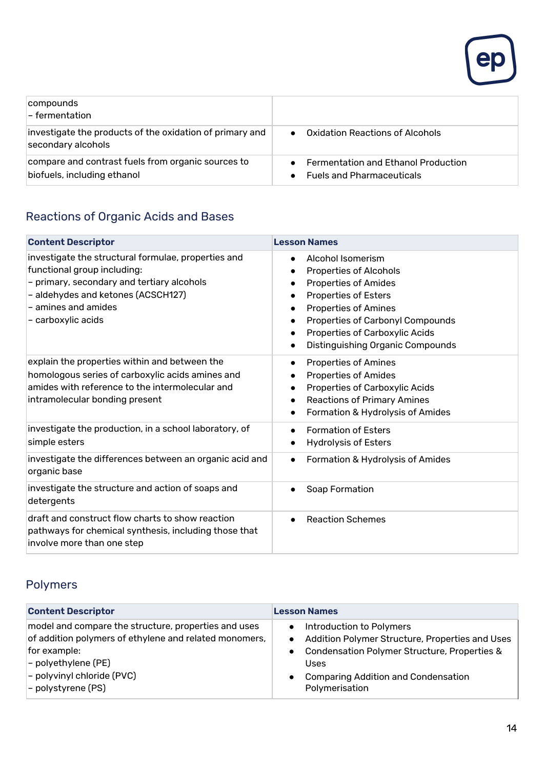

| compounds<br>$\mathsf{I}\text{-}$ fermentation                                    |                                                                                |
|-----------------------------------------------------------------------------------|--------------------------------------------------------------------------------|
| investigate the products of the oxidation of primary and<br>secondary alcohols    | Oxidation Reactions of Alcohols                                                |
| compare and contrast fuels from organic sources to<br>biofuels, including ethanol | <b>Fermentation and Ethanol Production</b><br><b>Fuels and Pharmaceuticals</b> |

## Reactions of Organic Acids and Bases

| <b>Content Descriptor</b>                                                                                                                                                                                           | <b>Lesson Names</b>                                                                                                                                                                                                                                                                 |
|---------------------------------------------------------------------------------------------------------------------------------------------------------------------------------------------------------------------|-------------------------------------------------------------------------------------------------------------------------------------------------------------------------------------------------------------------------------------------------------------------------------------|
| investigate the structural formulae, properties and<br>functional group including:<br>- primary, secondary and tertiary alcohols<br>- aldehydes and ketones (ACSCH127)<br>- amines and amides<br>- carboxylic acids | Alcohol Isomerism<br>$\bullet$<br><b>Properties of Alcohols</b><br><b>Properties of Amides</b><br><b>Properties of Esters</b><br><b>Properties of Amines</b><br>Properties of Carbonyl Compounds<br>Properties of Carboxylic Acids<br>$\bullet$<br>Distinguishing Organic Compounds |
| explain the properties within and between the<br>homologous series of carboxylic acids amines and<br>amides with reference to the intermolecular and<br>intramolecular bonding present                              | <b>Properties of Amines</b><br>$\bullet$<br><b>Properties of Amides</b><br>$\bullet$<br>Properties of Carboxylic Acids<br>$\bullet$<br><b>Reactions of Primary Amines</b><br>$\bullet$<br>Formation & Hydrolysis of Amides                                                          |
| investigate the production, in a school laboratory, of<br>simple esters                                                                                                                                             | <b>Formation of Esters</b><br>$\bullet$<br><b>Hydrolysis of Esters</b><br>$\bullet$                                                                                                                                                                                                 |
| investigate the differences between an organic acid and<br>organic base                                                                                                                                             | Formation & Hydrolysis of Amides<br>$\bullet$                                                                                                                                                                                                                                       |
| investigate the structure and action of soaps and<br>detergents                                                                                                                                                     | Soap Formation<br>$\bullet$                                                                                                                                                                                                                                                         |
| draft and construct flow charts to show reaction<br>pathways for chemical synthesis, including those that<br>involve more than one step                                                                             | <b>Reaction Schemes</b><br>$\bullet$                                                                                                                                                                                                                                                |

#### Polymers

| <b>Content Descriptor</b>                                                                                                                                                                                       | <b>Lesson Names</b>                                                                                                                                                                                                           |
|-----------------------------------------------------------------------------------------------------------------------------------------------------------------------------------------------------------------|-------------------------------------------------------------------------------------------------------------------------------------------------------------------------------------------------------------------------------|
| model and compare the structure, properties and uses<br>of addition polymers of ethylene and related monomers,<br>for example:<br>$-$ polyethylene (PE)<br>$-$ polyvinyl chloride (PVC)<br>$-$ polystyrene (PS) | Introduction to Polymers<br>Addition Polymer Structure, Properties and Uses<br>$\bullet$<br>Condensation Polymer Structure, Properties &<br>Uses<br><b>Comparing Addition and Condensation</b><br>$\bullet$<br>Polymerisation |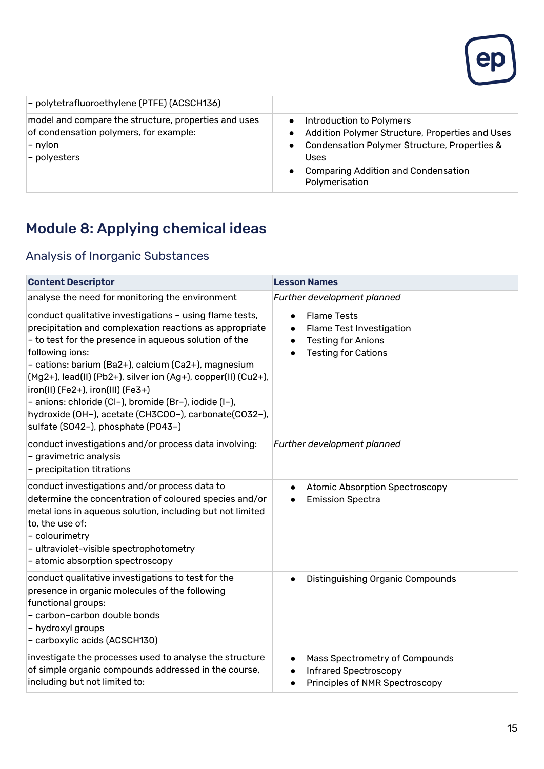

| - polytetrafluoroethylene (PTFE) (ACSCH136)                                                                                   |                                                                                                                                                                                                                                            |
|-------------------------------------------------------------------------------------------------------------------------------|--------------------------------------------------------------------------------------------------------------------------------------------------------------------------------------------------------------------------------------------|
| model and compare the structure, properties and uses<br>of condensation polymers, for example:<br>$-$ nylon<br>$-$ polyesters | Introduction to Polymers<br>$\bullet$<br>Addition Polymer Structure, Properties and Uses<br>Condensation Polymer Structure, Properties &<br>$\bullet$<br>Uses<br><b>Comparing Addition and Condensation</b><br>$\bullet$<br>Polymerisation |

## Module 8: Applying chemical ideas

#### Analysis of Inorganic Substances

| <b>Content Descriptor</b>                                                                                                                                                                                                                                                                                                                                                                                                                                                                                              | <b>Lesson Names</b>                                                                                                                              |
|------------------------------------------------------------------------------------------------------------------------------------------------------------------------------------------------------------------------------------------------------------------------------------------------------------------------------------------------------------------------------------------------------------------------------------------------------------------------------------------------------------------------|--------------------------------------------------------------------------------------------------------------------------------------------------|
| analyse the need for monitoring the environment                                                                                                                                                                                                                                                                                                                                                                                                                                                                        | Further development planned                                                                                                                      |
| conduct qualitative investigations - using flame tests,<br>precipitation and complexation reactions as appropriate<br>- to test for the presence in aqueous solution of the<br>following ions:<br>- cations: barium (Ba2+), calcium (Ca2+), magnesium<br>$(Mg2+)$ , lead(II) (Pb2+), silver ion (Ag+), copper(II) (Cu2+),<br>iron(II) (Fe2+), iron(III) (Fe3+)<br>- anions: chloride (Cl-), bromide (Br-), iodide (I-),<br>hydroxide (OH-), acetate (CH3COO-), carbonate(CO32-),<br>sulfate (SO42-), phosphate (PO43-) | <b>Flame Tests</b><br>$\bullet$<br>Flame Test Investigation<br>$\bullet$<br><b>Testing for Anions</b><br>$\bullet$<br><b>Testing for Cations</b> |
| conduct investigations and/or process data involving:<br>- gravimetric analysis<br>- precipitation titrations                                                                                                                                                                                                                                                                                                                                                                                                          | Further development planned                                                                                                                      |
| conduct investigations and/or process data to<br>determine the concentration of coloured species and/or<br>metal ions in aqueous solution, including but not limited<br>to, the use of:<br>- colourimetry<br>- ultraviolet-visible spectrophotometry<br>- atomic absorption spectroscopy                                                                                                                                                                                                                               | <b>Atomic Absorption Spectroscopy</b><br>$\bullet$<br><b>Emission Spectra</b>                                                                    |
| conduct qualitative investigations to test for the<br>presence in organic molecules of the following<br>functional groups:<br>- carbon-carbon double bonds<br>- hydroxyl groups<br>- carboxylic acids (ACSCH130)                                                                                                                                                                                                                                                                                                       | Distinguishing Organic Compounds<br>$\bullet$                                                                                                    |
| investigate the processes used to analyse the structure<br>of simple organic compounds addressed in the course,<br>including but not limited to:                                                                                                                                                                                                                                                                                                                                                                       | Mass Spectrometry of Compounds<br>$\bullet$<br><b>Infrared Spectroscopy</b><br>Principles of NMR Spectroscopy<br>$\bullet$                       |